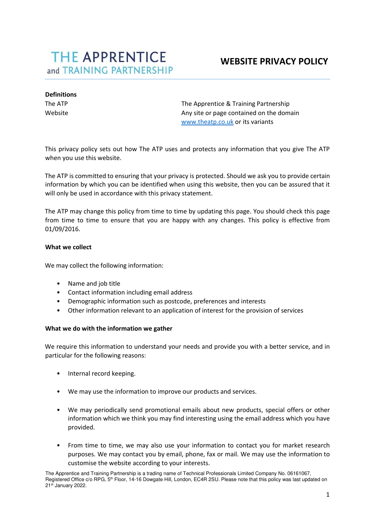# **THE APPRENTICE** and TRAINING PARTNERSHIP

## **WEBSITE PRIVACY POLICY**

**Definitions** 

The ATP The Apprentice & Training Partnership Website **Any site or page contained on the domain** Any site or page contained on the domain [www.theatp.co.uk o](http://www.theatp.co.uk/)r its variants

This privacy policy sets out how The ATP uses and protects any information that you give The ATP when you use this website.

The ATP is committed to ensuring that your privacy is protected. Should we ask you to provide certain information by which you can be identified when using this website, then you can be assured that it will only be used in accordance with this privacy statement.

The ATP may change this policy from time to time by updating this page. You should check this page from time to time to ensure that you are happy with any changes. This policy is effective from 01/09/2016.

#### **What we collect**

We may collect the following information:

- Name and job title
- Contact information including email address
- Demographic information such as postcode, preferences and interests
- Other information relevant to an application of interest for the provision of services

#### **What we do with the information we gather**

We require this information to understand your needs and provide you with a better service, and in particular for the following reasons:

- Internal record keeping.
- We may use the information to improve our products and services.
- We may periodically send promotional emails about new products, special offers or other information which we think you may find interesting using the email address which you have provided.
- From time to time, we may also use your information to contact you for market research purposes. We may contact you by email, phone, fax or mail. We may use the information to customise the website according to your interests.

The Apprentice and Training Partnership is a trading name of Technical Professionals Limited Company No. 06161067, Registered Office c/o RPG, 5<sup>th</sup> Floor, 14-16 Dowgate Hill, London, EC4R 2SU. Please note that this policy was last updated on 21st January 2022.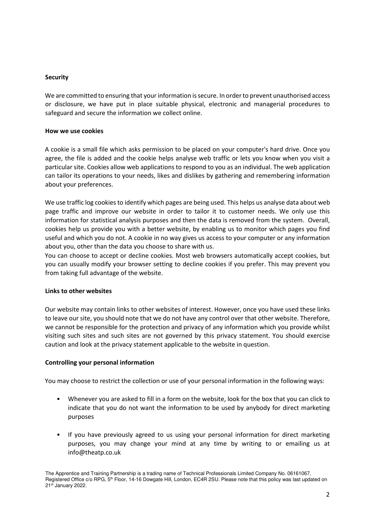#### **Security**

We are committed to ensuring that your information is secure. In order to prevent unauthorised access or disclosure, we have put in place suitable physical, electronic and managerial procedures to safeguard and secure the information we collect online.

#### **How we use cookies**

A cookie is a small file which asks permission to be placed on your computer's hard drive. Once you agree, the file is added and the cookie helps analyse web traffic or lets you know when you visit a particular site. Cookies allow web applications to respond to you as an individual. The web application can tailor its operations to your needs, likes and dislikes by gathering and remembering information about your preferences.

We use traffic log cookies to identify which pages are being used. This helps us analyse data about web page traffic and improve our website in order to tailor it to customer needs. We only use this information for statistical analysis purposes and then the data is removed from the system. Overall, cookies help us provide you with a better website, by enabling us to monitor which pages you find useful and which you do not. A cookie in no way gives us access to your computer or any information about you, other than the data you choose to share with us.

You can choose to accept or decline cookies. Most web browsers automatically accept cookies, but you can usually modify your browser setting to decline cookies if you prefer. This may prevent you from taking full advantage of the website.

#### **Links to other websites**

Our website may contain links to other websites of interest. However, once you have used these links to leave our site, you should note that we do not have any control over that other website. Therefore, we cannot be responsible for the protection and privacy of any information which you provide whilst visiting such sites and such sites are not governed by this privacy statement. You should exercise caution and look at the privacy statement applicable to the website in question.

### **Controlling your personal information**

You may choose to restrict the collection or use of your personal information in the following ways:

- Whenever you are asked to fill in a form on the website, look for the box that you can click to indicate that you do not want the information to be used by anybody for direct marketing purposes
- If you have previously agreed to us using your personal information for direct marketing purposes, you may change your mind at any time by writing to or emailing us at info@theatp.co.uk

The Apprentice and Training Partnership is a trading name of Technical Professionals Limited Company No. 06161067, Registered Office c/o RPG, 5<sup>th</sup> Floor, 14-16 Dowgate Hill, London, EC4R 2SU. Please note that this policy was last updated on 21st January 2022.